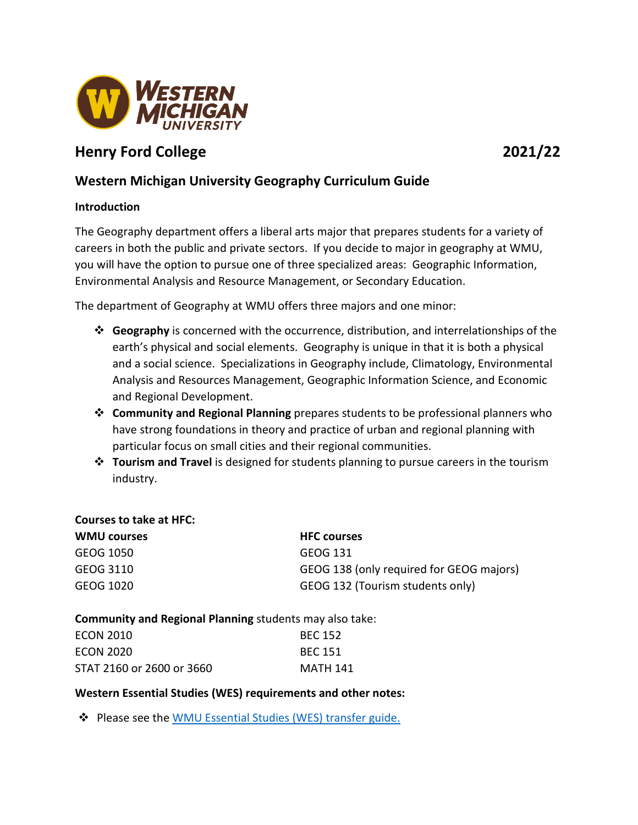

# **Henry Ford College 2021/22**

## **Western Michigan University Geography Curriculum Guide**

#### **Introduction**

The Geography department offers a liberal arts major that prepares students for a variety of careers in both the public and private sectors. If you decide to major in geography at WMU, you will have the option to pursue one of three specialized areas: Geographic Information, Environmental Analysis and Resource Management, or Secondary Education.

The department of Geography at WMU offers three majors and one minor:

- **Geography** is concerned with the occurrence, distribution, and interrelationships of the earth's physical and social elements. Geography is unique in that it is both a physical and a social science. Specializations in Geography include, Climatology, Environmental Analysis and Resources Management, Geographic Information Science, and Economic and Regional Development.
- **Community and Regional Planning** prepares students to be professional planners who have strong foundations in theory and practice of urban and regional planning with particular focus on small cities and their regional communities.
- **Tourism and Travel** is designed for students planning to pursue careers in the tourism industry.

#### **Courses to take at HFC:**

| <b>WMU courses</b> | <b>HFC courses</b>                       |
|--------------------|------------------------------------------|
| GEOG 1050          | GEOG 131                                 |
| GEOG 3110          | GEOG 138 (only required for GEOG majors) |
| GEOG 1020          | GEOG 132 (Tourism students only)         |

**Community and Regional Planning** students may also take:

| <b>ECON 2010</b>          | <b>BEC 152</b> |
|---------------------------|----------------|
| ECON 2020                 | <b>BEC 151</b> |
| STAT 2160 or 2600 or 3660 | MATH 141       |

### **Western Essential Studies (WES) requirements and other notes:**

Please see the [WMU Essential Studies \(WES\) transfer guide.](https://wmich.edu/admissions/transfer/guides/HFC)